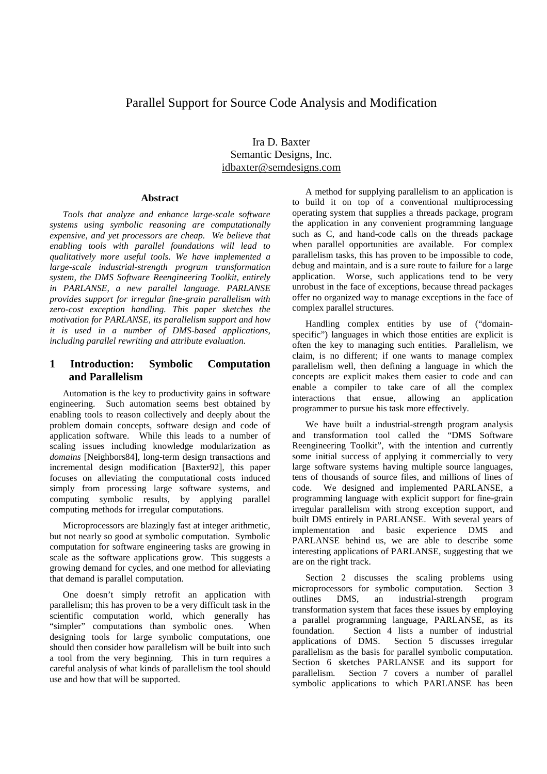# Parallel Support for Source Code Analysis and Modification

Ira D. Baxter Semantic Designs, Inc. idbaxter@semdesigns.com

#### **Abstract**

*Tools that analyze and enhance large-scale software systems using symbolic reasoning are computationally expensive, and yet processors are cheap. We believe that enabling tools with parallel foundations will lead to qualitatively more useful tools. We have implemented a large-scale industrial-strength program transformation system, the DMS Software Reengineering Toolkit, entirely in PARLANSE, a new parallel language. PARLANSE provides support for irregular fine-grain parallelism with zero-cost exception handling. This paper sketches the motivation for PARLANSE, its parallelism support and how it is used in a number of DMS-based applications, including parallel rewriting and attribute evaluation.*

# **1 Introduction: Symbolic Computation and Parallelism**

Automation is the key to productivity gains in software engineering. Such automation seems best obtained by enabling tools to reason collectively and deeply about the problem domain concepts, software design and code of application software. While this leads to a number of scaling issues including knowledge modularization as *domains* [Neighbors84], long-term design transactions and incremental design modification [Baxter92], this paper focuses on alleviating the computational costs induced simply from processing large software systems, and computing symbolic results, by applying parallel computing methods for irregular computations.

Microprocessors are blazingly fast at integer arithmetic, but not nearly so good at symbolic computation. Symbolic computation for software engineering tasks are growing in scale as the software applications grow. This suggests a growing demand for cycles, and one method for alleviating that demand is parallel computation.

One doesn't simply retrofit an application with parallelism; this has proven to be a very difficult task in the scientific computation world, which generally has "simpler" computations than symbolic ones. When designing tools for large symbolic computations, one should then consider how parallelism will be built into such a tool from the very beginning. This in turn requires a careful analysis of what kinds of parallelism the tool should use and how that will be supported.

A method for supplying parallelism to an application is to build it on top of a conventional multiprocessing operating system that supplies a threads package, program the application in any convenient programming language such as C, and hand-code calls on the threads package when parallel opportunities are available. For complex parallelism tasks, this has proven to be impossible to code, debug and maintain, and is a sure route to failure for a large application. Worse, such applications tend to be very unrobust in the face of exceptions, because thread packages offer no organized way to manage exceptions in the face of complex parallel structures.

Handling complex entities by use of ("domainspecific") languages in which those entities are explicit is often the key to managing such entities. Parallelism, we claim, is no different; if one wants to manage complex parallelism well, then defining a language in which the concepts are explicit makes them easier to code and can enable a compiler to take care of all the complex interactions that ensue, allowing an application programmer to pursue his task more effectively.

We have built a industrial-strength program analysis and transformation tool called the "DMS Software Reengineering Toolkit", with the intention and currently some initial success of applying it commercially to very large software systems having multiple source languages, tens of thousands of source files, and millions of lines of code. We designed and implemented PARLANSE, a programming language with explicit support for fine-grain irregular parallelism with strong exception support, and built DMS entirely in PARLANSE. With several years of implementation and basic experience DMS and PARLANSE behind us, we are able to describe some interesting applications of PARLANSE, suggesting that we are on the right track.

Section 2 discusses the scaling problems using microprocessors for symbolic computation. Section 3 outlines DMS, an industrial-strength program transformation system that faces these issues by employing a parallel programming language, PARLANSE, as its foundation. Section 4 lists a number of industrial applications of DMS. Section 5 discusses irregular parallelism as the basis for parallel symbolic computation. Section 6 sketches PARLANSE and its support for parallelism. Section 7 covers a number of parallel symbolic applications to which PARLANSE has been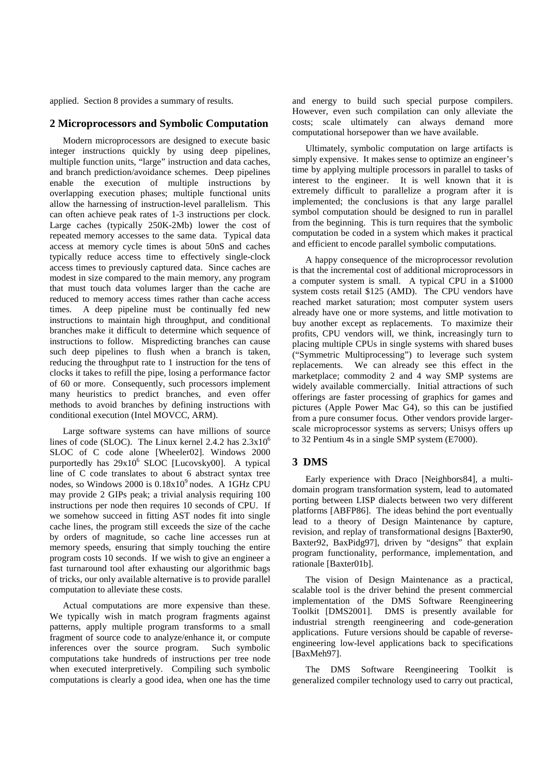applied. Section 8 provides a summary of results.

#### **2 Microprocessors and Symbolic Computation**

Modern microprocessors are designed to execute basic integer instructions quickly by using deep pipelines, multiple function units, "large" instruction and data caches, and branch prediction/avoidance schemes. Deep pipelines enable the execution of multiple instructions by overlapping execution phases; multiple functional units allow the harnessing of instruction-level parallelism. This can often achieve peak rates of 1-3 instructions per clock. Large caches (typically 250K-2Mb) lower the cost of repeated memory accesses to the same data. Typical data access at memory cycle times is about 50nS and caches typically reduce access time to effectively single-clock access times to previously captured data. Since caches are modest in size compared to the main memory, any program that must touch data volumes larger than the cache are reduced to memory access times rather than cache access times. A deep pipeline must be continually fed new instructions to maintain high throughput, and conditional branches make it difficult to determine which sequence of instructions to follow. Mispredicting branches can cause such deep pipelines to flush when a branch is taken, reducing the throughput rate to 1 instruction for the tens of clocks it takes to refill the pipe, losing a performance factor of 60 or more. Consequently, such processors implement many heuristics to predict branches, and even offer methods to avoid branches by defining instructions with conditional execution (Intel MOVCC, ARM).

Large software systems can have millions of source lines of code (SLOC). The Linux kernel 2.4.2 has  $2.3x10^6$ SLOC of C code alone [Wheeler02]. Windows 2000 purportedly has  $29x10^6$  SLOC [Lucovsky00]. A typical line of C code translates to about 6 abstract syntax tree nodes, so Windows 2000 is  $0.18x10^9$  nodes. A 1GHz CPU may provide 2 GIPs peak; a trivial analysis requiring 100 instructions per node then requires 10 seconds of CPU. If we somehow succeed in fitting AST nodes fit into single cache lines, the program still exceeds the size of the cache by orders of magnitude, so cache line accesses run at memory speeds, ensuring that simply touching the entire program costs 10 seconds. If we wish to give an engineer a fast turnaround tool after exhausting our algorithmic bags of tricks, our only available alternative is to provide parallel computation to alleviate these costs.

Actual computations are more expensive than these. We typically wish in match program fragments against patterns, apply multiple program transforms to a small fragment of source code to analyze/enhance it, or compute inferences over the source program. Such symbolic computations take hundreds of instructions per tree node when executed interpretively. Compiling such symbolic computations is clearly a good idea, when one has the time and energy to build such special purpose compilers. However, even such compilation can only alleviate the costs; scale ultimately can always demand more computational horsepower than we have available.

Ultimately, symbolic computation on large artifacts is simply expensive. It makes sense to optimize an engineer's time by applying multiple processors in parallel to tasks of interest to the engineer. It is well known that it is extremely difficult to parallelize a program after it is implemented; the conclusions is that any large parallel symbol computation should be designed to run in parallel from the beginning. This is turn requires that the symbolic computation be coded in a system which makes it practical and efficient to encode parallel symbolic computations.

A happy consequence of the microprocessor revolution is that the incremental cost of additional microprocessors in a computer system is small. A typical CPU in a \$1000 system costs retail \$125 (AMD). The CPU vendors have reached market saturation; most computer system users already have one or more systems, and little motivation to buy another except as replacements. To maximize their profits, CPU vendors will, we think, increasingly turn to placing multiple CPUs in single systems with shared buses ("Symmetric Multiprocessing") to leverage such system replacements. We can already see this effect in the marketplace; commodity 2 and 4 way SMP systems are widely available commercially. Initial attractions of such offerings are faster processing of graphics for games and pictures (Apple Power Mac G4), so this can be justified from a pure consumer focus. Other vendors provide largerscale microprocessor systems as servers; Unisys offers up to 32 Pentium 4s in a single SMP system (E7000).

#### **3 DMS**

Early experience with Draco [Neighbors84], a multidomain program transformation system, lead to automated porting between LISP dialects between two very different platforms [ABFP86]. The ideas behind the port eventually lead to a theory of Design Maintenance by capture, revision, and replay of transformational designs [Baxter90, Baxter92, BaxPidg97], driven by "designs" that explain program functionality, performance, implementation, and rationale [Baxter01b].

The vision of Design Maintenance as a practical, scalable tool is the driver behind the present commercial implementation of the DMS Software Reengineering Toolkit [DMS2001]. DMS is presently available for industrial strength reengineering and code-generation applications. Future versions should be capable of reverseengineering low-level applications back to specifications [BaxMeh97].

The DMS Software Reengineering Toolkit is generalized compiler technology used to carry out practical,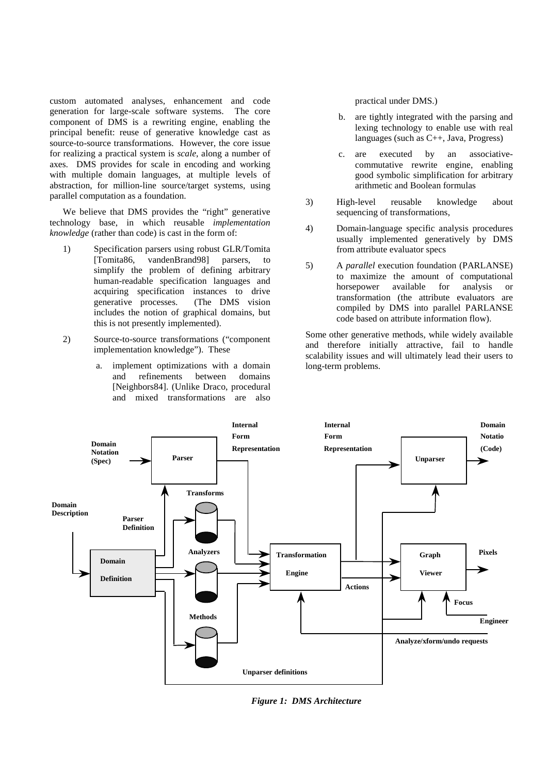custom automated analyses, enhancement and code generation for large-scale software systems. The core component of DMS is a rewriting engine, enabling the principal benefit: reuse of generative knowledge cast as source-to-source transformations. However, the core issue for realizing a practical system is *scale*, along a number of axes. DMS provides for scale in encoding and working with multiple domain languages, at multiple levels of abstraction, for million-line source/target systems, using parallel computation as a foundation.

We believe that DMS provides the "right" generative technology base, in which reusable *implementation knowledge* (rather than code) is cast in the form of:

- 1) Specification parsers using robust GLR/Tomita [Tomita86, vandenBrand98] parsers, to simplify the problem of defining arbitrary human-readable specification languages and acquiring specification instances to drive generative processes. (The DMS vision includes the notion of graphical domains, but this is not presently implemented).
- 2) Source-to-source transformations ("component implementation knowledge"). These
	- a. implement optimizations with a domain and refinements between domains [Neighbors84]. (Unlike Draco, procedural and mixed transformations are also

practical under DMS.)

- b. are tightly integrated with the parsing and lexing technology to enable use with real languages (such as C++, Java, Progress)
- c. are executed by an associativecommutative rewrite engine, enabling good symbolic simplification for arbitrary arithmetic and Boolean formulas
- 3) High-level reusable knowledge about sequencing of transformations,
- 4) Domain-language specific analysis procedures usually implemented generatively by DMS from attribute evaluator specs
- 5) A *parallel* execution foundation (PARLANSE) to maximize the amount of computational horsepower available for analysis or transformation (the attribute evaluators are compiled by DMS into parallel PARLANSE code based on attribute information flow).

Some other generative methods, while widely available and therefore initially attractive, fail to handle scalability issues and will ultimately lead their users to long-term problems.



*Figure 1: DMS Architecture*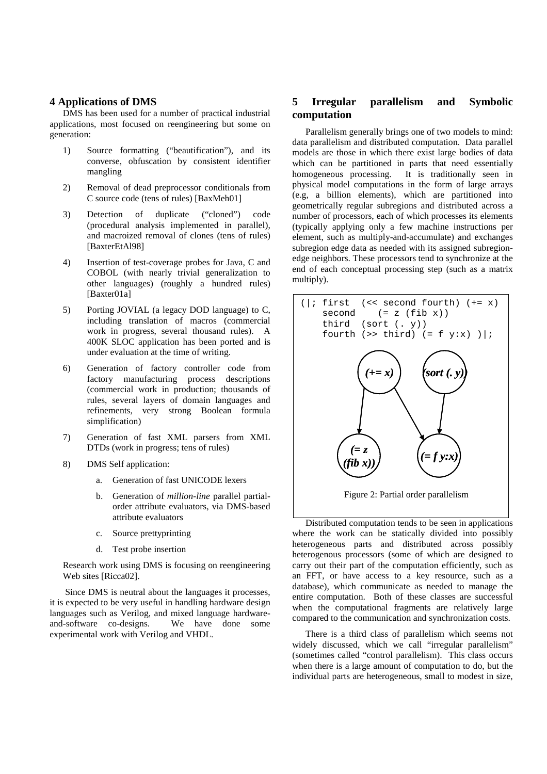### **4 Applications of DMS**

DMS has been used for a number of practical industrial applications, most focused on reengineering but some on generation:

- 1) Source formatting ("beautification"), and its converse, obfuscation by consistent identifier mangling
- 2) Removal of dead preprocessor conditionals from C source code (tens of rules) [BaxMeh01]
- 3) Detection of duplicate ("cloned") code (procedural analysis implemented in parallel), and macroized removal of clones (tens of rules) [BaxterEtAl98]
- 4) Insertion of test-coverage probes for Java, C and COBOL (with nearly trivial generalization to other languages) (roughly a hundred rules) [Baxter01a]
- 5) Porting JOVIAL (a legacy DOD language) to C, including translation of macros (commercial work in progress, several thousand rules). A 400K SLOC application has been ported and is under evaluation at the time of writing.
- 6) Generation of factory controller code from factory manufacturing process descriptions (commercial work in production; thousands of rules, several layers of domain languages and refinements, very strong Boolean formula simplification)
- 7) Generation of fast XML parsers from XML DTDs (work in progress; tens of rules)
- 8) DMS Self application:
	- a. Generation of fast UNICODE lexers
	- b. Generation of *million-line* parallel partialorder attribute evaluators, via DMS-based attribute evaluators
	- c. Source prettyprinting
	- d. Test probe insertion

Research work using DMS is focusing on reengineering Web sites [Ricca02].

Since DMS is neutral about the languages it processes, it is expected to be very useful in handling hardware design languages such as Verilog, and mixed language hardware-<br>and-software co-designs. We have done some and-software co-designs. experimental work with Verilog and VHDL.

# **5 Irregular parallelism and Symbolic computation**

Parallelism generally brings one of two models to mind: data parallelism and distributed computation. Data parallel models are those in which there exist large bodies of data which can be partitioned in parts that need essentially homogeneous processing. It is traditionally seen in physical model computations in the form of large arrays (e.g, a billion elements), which are partitioned into geometrically regular subregions and distributed across a number of processors, each of which processes its elements (typically applying only a few machine instructions per element, such as multiply-and-accumulate) and exchanges subregion edge data as needed with its assigned subregionedge neighbors. These processors tend to synchronize at the end of each conceptual processing step (such as a matrix multiply).



Distributed computation tends to be seen in applications where the work can be statically divided into possibly heterogeneous parts and distributed across possibly heterogenous processors (some of which are designed to carry out their part of the computation efficiently, such as an FFT, or have access to a key resource, such as a database), which communicate as needed to manage the entire computation. Both of these classes are successful when the computational fragments are relatively large compared to the communication and synchronization costs.

There is a third class of parallelism which seems not widely discussed, which we call "irregular parallelism" (sometimes called "control parallelism). This class occurs when there is a large amount of computation to do, but the individual parts are heterogeneous, small to modest in size,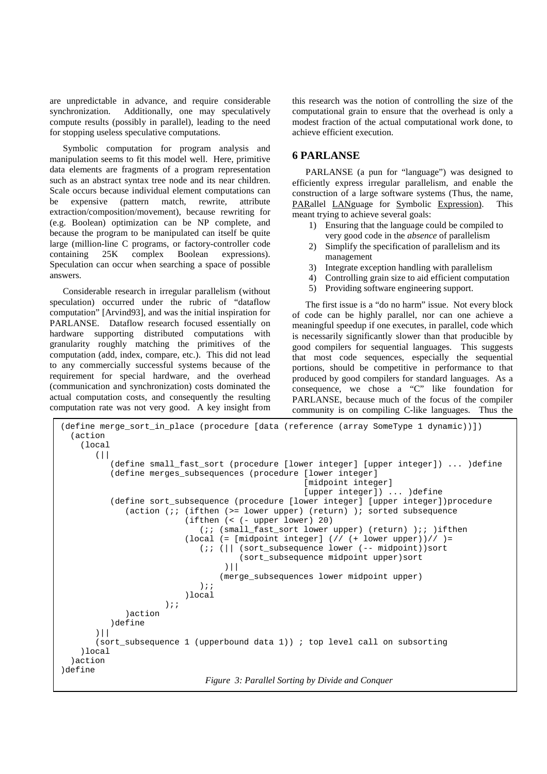are unpredictable in advance, and require considerable synchronization. Additionally, one may speculatively compute results (possibly in parallel), leading to the need for stopping useless speculative computations.

Symbolic computation for program analysis and manipulation seems to fit this model well. Here, primitive data elements are fragments of a program representation such as an abstract syntax tree node and its near children. Scale occurs because individual element computations can be expensive (pattern match, rewrite, attribute extraction/composition/movement), because rewriting for (e.g. Boolean) optimization can be NP complete, and because the program to be manipulated can itself be quite large (million-line C programs, or factory-controller code containing 25K complex Boolean expressions). Speculation can occur when searching a space of possible answers.

Considerable research in irregular parallelism (without speculation) occurred under the rubric of "dataflow computation" [Arvind93], and was the initial inspiration for PARLANSE. Dataflow research focused essentially on hardware supporting distributed computations with granularity roughly matching the primitives of the computation (add, index, compare, etc.). This did not lead to any commercially successful systems because of the requirement for special hardware, and the overhead (communication and synchronization) costs dominated the actual computation costs, and consequently the resulting computation rate was not very good. A key insight from

this research was the notion of controlling the size of the computational grain to ensure that the overhead is only a modest fraction of the actual computational work done, to achieve efficient execution.

### **6 PARLANSE**

PARLANSE (a pun for "language") was designed to efficiently express irregular parallelism, and enable the construction of a large software systems (Thus, the name, PARallel LANguage for Symbolic Expression). This meant trying to achieve several goals:

- 1) Ensuring that the language could be compiled to very good code in the *absence* of parallelism
- 2) Simplify the specification of parallelism and its management
- 3) Integrate exception handling with parallelism
- 4) Controlling grain size to aid efficient computation
- 5) Providing software engineering support.

The first issue is a "do no harm" issue. Not every block of code can be highly parallel, nor can one achieve a meaningful speedup if one executes, in parallel, code which is necessarily significantly slower than that producible by good compilers for sequential languages. This suggests that most code sequences, especially the sequential portions, should be competitive in performance to that produced by good compilers for standard languages. As a consequence, we chose a "C" like foundation for PARLANSE, because much of the focus of the compiler community is on compiling C-like languages. Thus the

```
(define merge_sort_in_place (procedure [data (reference (array SomeType 1 dynamic))])
  (action
    (local
       (||
          (define small_fast_sort (procedure [lower integer] [upper integer]) ... )define
          (define merges_subsequences (procedure [lower integer]
                                                   [midpoint integer]
                                                   [upper integer]) ... )define
          (define sort_subsequence (procedure [lower integer] [upper integer])procedure
             (action (;; (ifthen (>= lower upper) (return) ); sorted subsequence
                          (ifthen (< (- upper lower) 20)
                             (;; (small_fast_sort lower upper) (return) );; )ifthen
                          (local (= [midpoint integer] / / / (+ lower upper)) // ) =(;; (|| (sort_subsequence lower (-- midpoint))sort
                                     (sort_subsequence midpoint upper)sort
                                  )||
                                 (merge_subsequences lower midpoint upper)
                             );;
                         )local
                     );;
             )action
          )define
       )||
       (sort_subsequence 1 (upperbound data 1)) ; top level call on subsorting
    )local
  )action
)define
                              Figure 3: Parallel Sorting by Divide and Conquer
```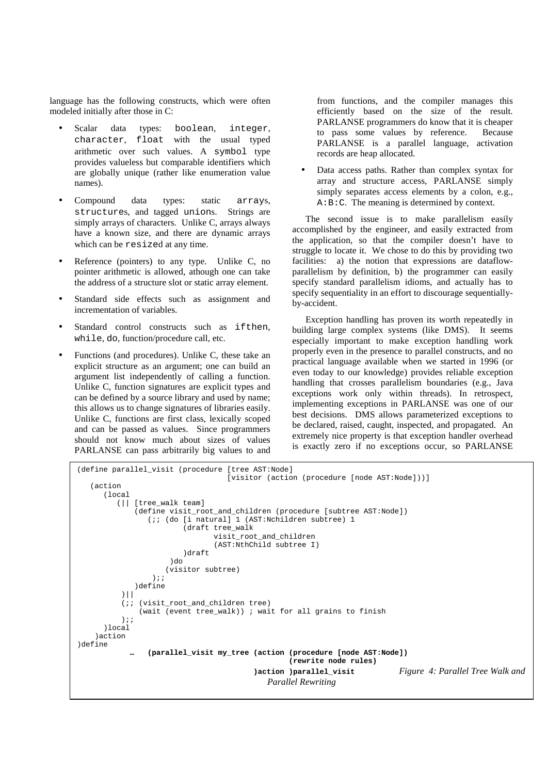language has the following constructs, which were often modeled initially after those in C:

- Scalar data types: boolean, integer, character, float with the usual typed arithmetic over such values. A symbol type provides valueless but comparable identifiers which are globally unique (rather like enumeration value names).
- Compound data types: static arrays, structures, and tagged unions. Strings are simply arrays of characters. Unlike C, arrays always have a known size, and there are dynamic arrays which can be resized at any time.
- Reference (pointers) to any type. Unlike C, no pointer arithmetic is allowed, athough one can take the address of a structure slot or static array element.
- Standard side effects such as assignment and incrementation of variables.
- Standard control constructs such as if then, while, do, function/procedure call, etc.
- Functions (and procedures). Unlike C, these take an explicit structure as an argument; one can build an argument list independently of calling a function. Unlike C, function signatures are explicit types and can be defined by a source library and used by name; this allows us to change signatures of libraries easily. Unlike C, functions are first class, lexically scoped and can be passed as values. Since programmers should not know much about sizes of values PARLANSE can pass arbitrarily big values to and

from functions, and the compiler manages this efficiently based on the size of the result. PARLANSE programmers do know that it is cheaper to pass some values by reference. Because PARLANSE is a parallel language, activation records are heap allocated.

• Data access paths. Rather than complex syntax for array and structure access, PARLANSE simply simply separates access elements by a colon, e.g., A:B:C. The meaning is determined by context.

The second issue is to make parallelism easily accomplished by the engineer, and easily extracted from the application, so that the compiler doesn't have to struggle to locate it. We chose to do this by providing two facilities: a) the notion that expressions are dataflowparallelism by definition, b) the programmer can easily specify standard parallelism idioms, and actually has to specify sequentiality in an effort to discourage sequentiallyby-accident.

Exception handling has proven its worth repeatedly in building large complex systems (like DMS). It seems especially important to make exception handling work properly even in the presence to parallel constructs, and no practical language available when we started in 1996 (or even today to our knowledge) provides reliable exception handling that crosses parallelism boundaries (e.g., Java exceptions work only within threads). In retrospect, implementing exceptions in PARLANSE was one of our best decisions. DMS allows parameterized exceptions to be declared, raised, caught, inspected, and propagated. An extremely nice property is that exception handler overhead is exactly zero if no exceptions occur, so PARLANSE

```
(define parallel_visit (procedure [tree AST:Node]
                                   [visitor (action (procedure [node AST:Node]))]
   (action
      (local
         (|| [tree_walk team]
             (define visit root and children (procedure [subtree AST:Node])
                (;; (do [i natural] 1 (AST:Nchildren subtree) 1
                         (draft tree_walk
                                visit_root_and_children
                                (AST:NthChild subtree I)
                         )draft
                     )d<sub>o</sub>(visitor subtree)
                 );;
             )define
          )||
          (;; (visit_root_and_children tree)
              (wait (event tree_walk)) ; wait for all grains to finish
          );;
      )local
    )action
)define
                … (parallel_visit my_tree (action (procedure [node AST:Node])
                                                  (rewrite node rules)
                                         )action )parallel_visit Figure 4: Parallel Tree Walk and
                                            Parallel Rewriting
```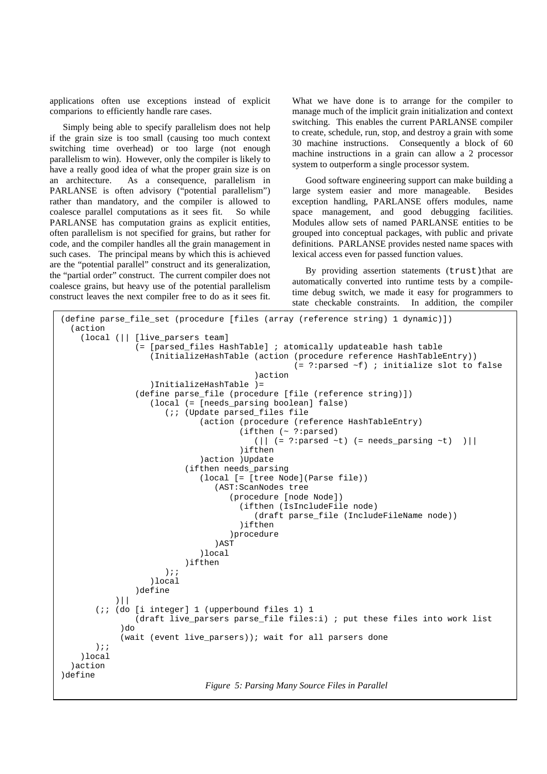applications often use exceptions instead of explicit comparions to efficiently handle rare cases.

Simply being able to specify parallelism does not help if the grain size is too small (causing too much context switching time overhead) or too large (not enough parallelism to win). However, only the compiler is likely to have a really good idea of what the proper grain size is on an architecture. As a consequence, parallelism in PARLANSE is often advisory ("potential parallelism") rather than mandatory, and the compiler is allowed to coalesce parallel computations as it sees fit. So while PARLANSE has computation grains as explicit entities, often parallelism is not specified for grains, but rather for code, and the compiler handles all the grain management in such cases. The principal means by which this is achieved are the "potential parallel" construct and its generalization, the "partial order" construct. The current compiler does not coalesce grains, but heavy use of the potential parallelism construct leaves the next compiler free to do as it sees fit.

What we have done is to arrange for the compiler to manage much of the implicit grain initialization and context switching. This enables the current PARLANSE compiler to create, schedule, run, stop, and destroy a grain with some 30 machine instructions. Consequently a block of 60 machine instructions in a grain can allow a 2 processor system to outperform a single processor system.

Good software engineering support can make building a large system easier and more manageable. Besides exception handling, PARLANSE offers modules, name space management, and good debugging facilities. Modules allow sets of named PARLANSE entities to be grouped into conceptual packages, with public and private definitions. PARLANSE provides nested name spaces with lexical access even for passed function values.

By providing assertion statements (trust) that are automatically converted into runtime tests by a compiletime debug switch, we made it easy for programmers to state checkable constraints. In addition, the compiler

```
(define parse_file_set (procedure [files (array (reference string) 1 dynamic)])
  (action
    (local (|| [live_parsers team]
               (= [parsed_files HashTable] ; atomically updateable hash table
                   (InitializeHashTable (action (procedure reference HashTableEntry))
                                                 (= ?:parsed ~f) ; initialize slot to false
                                         )action
                   )InitializeHashTable )=
               (define parse_file (procedure [file (reference string)])
                   (local (= [needs_parsing boolean] false)
                      (;; (Update parsed_files file
                             (action (procedure (reference HashTableEntry)
                                      (ifthen (~ ?:parsed)
                                         (|| (= ?:parsed \sim t) (= needs\_parsing \sim t) ))ifthen
                             )action )Update
                          (ifthen needs_parsing
                             (local [= [tree Node](Parse file))
                                (AST:ScanNodes tree
                                    (procedure [node Node])
                                      (ifthen (IsIncludeFile node)
                                         (draft parse_file (IncludeFileName node))
                                      )ifthen
                                   )procedure
                                )AST
                             )local
                          )ifthen
                      );;
                   )local
               )define
           )||
       (;; (do [i integer] 1 (upperbound files 1) 1
               (draft live_parsers parse_file files:i) ; put these files into work list
            \overline{h}(wait (event live_parsers)); wait for all parsers done
       );;
    )local
  )action
)define
                              Figure 5: Parsing Many Source Files in Parallel
```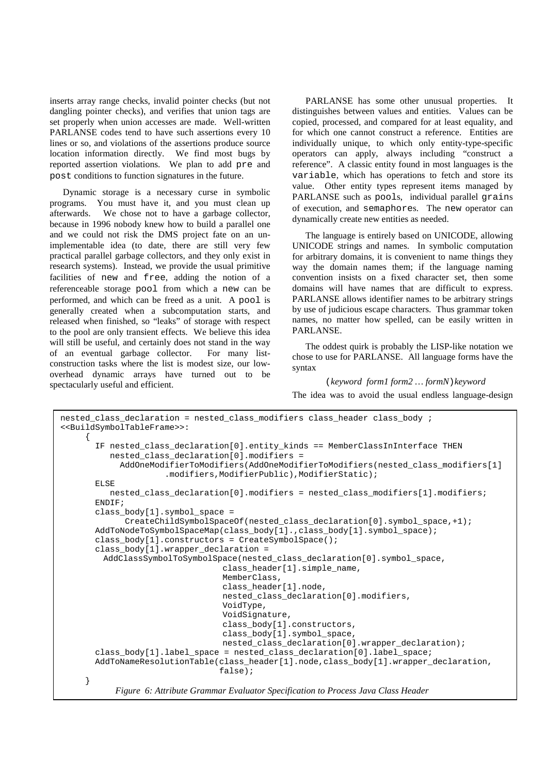inserts array range checks, invalid pointer checks (but not dangling pointer checks), and verifies that union tags are set properly when union accesses are made. Well-written PARLANSE codes tend to have such assertions every 10 lines or so, and violations of the assertions produce source location information directly. We find most bugs by reported assertion violations. We plan to add pre and post conditions to function signatures in the future.

Dynamic storage is a necessary curse in symbolic programs. You must have it, and you must clean up afterwards. We chose not to have a garbage collector, because in 1996 nobody knew how to build a parallel one and we could not risk the DMS project fate on an unimplementable idea (to date, there are still very few practical parallel garbage collectors, and they only exist in research systems). Instead, we provide the usual primitive facilities of new and free, adding the notion of a referenceable storage pool from which a new can be performed, and which can be freed as a unit. A pool is generally created when a subcomputation starts, and released when finished, so "leaks" of storage with respect to the pool are only transient effects. We believe this idea will still be useful, and certainly does not stand in the way of an eventual garbage collector. For many listconstruction tasks where the list is modest size, our lowoverhead dynamic arrays have turned out to be spectacularly useful and efficient.

PARLANSE has some other unusual properties. It distinguishes between values and entities. Values can be copied, processed, and compared for at least equality, and for which one cannot construct a reference. Entities are individually unique, to which only entity-type-specific operators can apply, always including "construct a reference". A classic entity found in most languages is the variable, which has operations to fetch and store its value. Other entity types represent items managed by PARLANSE such as pools, individual parallel grains of execution, and semaphores. The new operator can dynamically create new entities as needed.

The language is entirely based on UNICODE, allowing UNICODE strings and names. In symbolic computation for arbitrary domains, it is convenient to name things they way the domain names them; if the language naming convention insists on a fixed character set, then some domains will have names that are difficult to express. PARLANSE allows identifier names to be arbitrary strings by use of judicious escape characters. Thus grammar token names, no matter how spelled, can be easily written in PARLANSE.

The oddest quirk is probably the LISP-like notation we chose to use for PARLANSE. All language forms have the syntax

(*keyword form1 form2 … formN*)*keyword* The idea was to avoid the usual endless language-design

```
nested_class_declaration = nested_class_modifiers class_header class_body ;
<<BuildSymbolTableFrame>>:
     {
       IF nested_class_declaration[0].entity_kinds == MemberClassInInterface THEN
          nested_class_declaration[0].modifiers =
            AddOneModifierToModifiers(AddOneModifierToModifiers(nested_class_modifiers[1]
                     .modifiers,ModifierPublic),ModifierStatic);
       ELSE
         nested class declaration[0].modifiers = nested class modifiers[1].modifiers;
       ENDIF;
       class_body[1].symbol_space =
             CreateChildSymbolSpaceOf(nested_class_declaration[0].symbol_space,+1);
       AddToNodeToSymbolSpaceMap(class_body[1].,class_body[1].symbol_space);
       class_body[1].constructors = CreateSymbolSpace();
       class body[1].wrapper declaration =
        AddClassSymbolToSymbolSpace(nested_class_declaration[0].symbol_space,
                                 class_header[1].simple_name,
                                 MemberClass,
                                 class_header[1].node,
                                 nested_class_declaration[0].modifiers,
                                 VoidType,
                                 VoidSignature,
                                 class_body[1].constructors,
                                 class_body[1].symbol_space,
                                 nested_class_declaration[0].wrapper_declaration);
       class_body[1].label_space = nested_class_declaration[0].label_space;
       AddToNameResolutionTable(class_header[1].node,class_body[1].wrapper_declaration,
                                false);
     }
```

```
Figure 6: Attribute Grammar Evaluator Specification to Process Java Class Header
```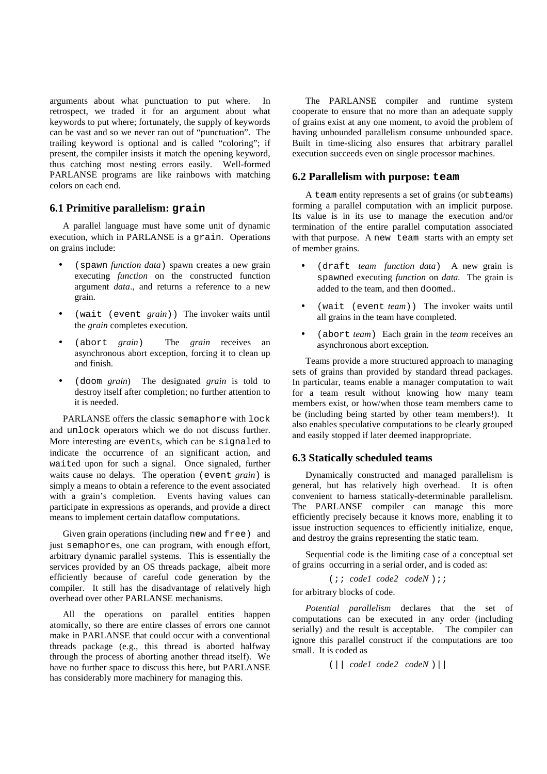arguments about what punctuation to put where. In retrospect, we traded it for an argument about what keywords to put where; fortunately, the supply of keywords can be vast and so we never ran out of "punctuation". The trailing keyword is optional and is called "coloring"; if present, the compiler insists it match the opening keyword, thus catching most nesting errors easily. Well-formed PARLANSE programs are like rainbows with matching colors on each end.

### **6.1 Primitive parallelism: grain**

A parallel language must have some unit of dynamic execution, which in PARLANSE is a grain. Operations on grains include:

- (spawn *function data*) spawn creates a new grain executing *function* on the constructed function argument *data*., and returns a reference to a new grain.
- (wait (event *grain*)) The invoker waits until the *grain* completes execution.
- (abort *grain*) The *grain* receives an asynchronous abort exception, forcing it to clean up and finish.
- (doom *grain*) The designated *grain* is told to destroy itself after completion; no further attention to it is needed.

PARLANSE offers the classic semaphore with lock and unlock operators which we do not discuss further. More interesting are events, which can be signaled to indicate the occurrence of an significant action, and waited upon for such a signal. Once signaled, further waits cause no delays. The operation (event *grain*) is simply a means to obtain a reference to the event associated with a grain's completion. Events having values can participate in expressions as operands, and provide a direct means to implement certain dataflow computations.

Given grain operations (including new and free) and just semaphores, one can program, with enough effort, arbitrary dynamic parallel systems. This is essentially the services provided by an OS threads package, albeit more efficiently because of careful code generation by the compiler. It still has the disadvantage of relatively high overhead over other PARLANSE mechanisms.

All the operations on parallel entities happen atomically, so there are entire classes of errors one cannot make in PARLANSE that could occur with a conventional threads package (e.g., this thread is aborted halfway through the process of aborting another thread itself). We have no further space to discuss this here, but PARLANSE has considerably more machinery for managing this.

The PARLANSE compiler and runtime system cooperate to ensure that no more than an adequate supply of grains exist at any one moment, to avoid the problem of having unbounded parallelism consume unbounded space. Built in time-slicing also ensures that arbitrary parallel execution succeeds even on single processor machines.

### **6.2 Parallelism with purpose: team**

A team entity represents a set of grains (or subteams) forming a parallel computation with an implicit purpose. Its value is in its use to manage the execution and/or termination of the entire parallel computation associated with that purpose. A new team starts with an empty set of member grains.

- (draft *team function data*) A new grain is spawned executing *function* on *data.* The grain is added to the team, and then doomed..
- (wait (event *team*)) The invoker waits until all grains in the team have completed.
- (abort *team*) Each grain in the *team* receives an asynchronous abort exception.

Teams provide a more structured approach to managing sets of grains than provided by standard thread packages. In particular, teams enable a manager computation to wait for a team result without knowing how many team members exist, or how/when those team members came to be (including being started by other team members!). It also enables speculative computations to be clearly grouped and easily stopped if later deemed inappropriate.

# **6.3 Statically scheduled teams**

Dynamically constructed and managed parallelism is general, but has relatively high overhead. It is often convenient to harness statically-determinable parallelism. The PARLANSE compiler can manage this more efficiently precisely because it knows more, enabling it to issue instruction sequences to efficiently initialize, enque, and destroy the grains representing the static team.

Sequential code is the limiting case of a conceptual set of grains occurring in a serial order, and is coded as:

(;; *code1 code2 codeN* );;

for arbitrary blocks of code.

*Potential parallelism* declares that the set of computations can be executed in any order (including serially) and the result is acceptable. The compiler can ignore this parallel construct if the computations are too small. It is coded as

(|| *code1 code2 codeN* )||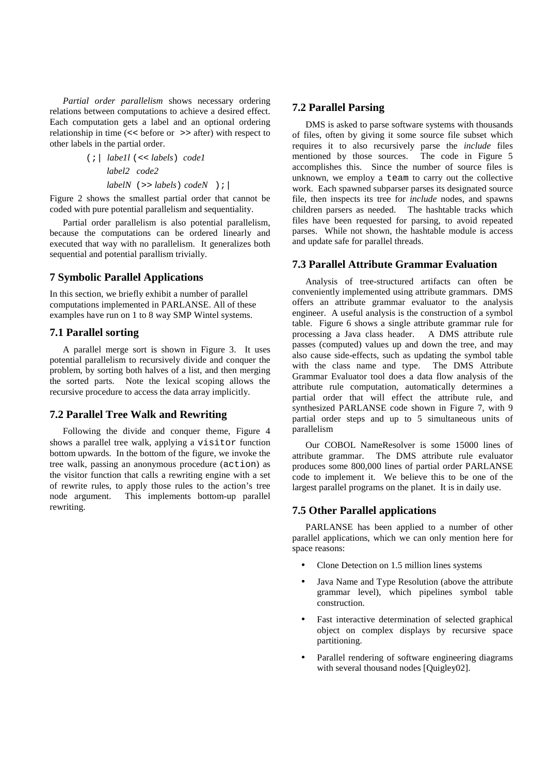*Partial order parallelism* shows necessary ordering relations between computations to achieve a desired effect. Each computation gets a label and an optional ordering relationship in time (<< before or >> after) with respect to other labels in the partial order.

> (;| *labe1l* (<< *labels*) *code1 label2 code2 labelN* (>> *labels*) *codeN* );|

Figure 2 shows the smallest partial order that cannot be coded with pure potential parallelism and sequentiality.

Partial order parallelism is also potential parallelism, because the computations can be ordered linearly and executed that way with no parallelism. It generalizes both sequential and potential parallism trivially.

# **7 Symbolic Parallel Applications**

In this section, we briefly exhibit a number of parallel computations implemented in PARLANSE. All of these examples have run on 1 to 8 way SMP Wintel systems.

# **7.1 Parallel sorting**

A parallel merge sort is shown in Figure 3. It uses potential parallelism to recursively divide and conquer the problem, by sorting both halves of a list, and then merging the sorted parts. Note the lexical scoping allows the recursive procedure to access the data array implicitly.

# **7.2 Parallel Tree Walk and Rewriting**

Following the divide and conquer theme, Figure 4 shows a parallel tree walk, applying a visitor function bottom upwards. In the bottom of the figure, we invoke the tree walk, passing an anonymous procedure (action) as the visitor function that calls a rewriting engine with a set of rewrite rules, to apply those rules to the action's tree node argument. This implements bottom-up parallel rewriting.

# **7.2 Parallel Parsing**

DMS is asked to parse software systems with thousands of files, often by giving it some source file subset which requires it to also recursively parse the *include* files mentioned by those sources. The code in Figure 5 mentioned by those sources. accomplishes this. Since the number of source files is unknown, we employ a team to carry out the collective work. Each spawned subparser parses its designated source file, then inspects its tree for *include* nodes, and spawns children parsers as needed. The hashtable tracks which files have been requested for parsing, to avoid repeated parses. While not shown, the hashtable module is access and update safe for parallel threads.

### **7.3 Parallel Attribute Grammar Evaluation**

Analysis of tree-structured artifacts can often be conveniently implemented using attribute grammars. DMS offers an attribute grammar evaluator to the analysis engineer. A useful analysis is the construction of a symbol table. Figure 6 shows a single attribute grammar rule for processing a Java class header. A DMS attribute rule passes (computed) values up and down the tree, and may also cause side-effects, such as updating the symbol table with the class name and type. The DMS Attribute Grammar Evaluator tool does a data flow analysis of the attribute rule computation, automatically determines a partial order that will effect the attribute rule, and synthesized PARLANSE code shown in Figure 7, with 9 partial order steps and up to 5 simultaneous units of parallelism

Our COBOL NameResolver is some 15000 lines of attribute grammar. The DMS attribute rule evaluator produces some 800,000 lines of partial order PARLANSE code to implement it. We believe this to be one of the largest parallel programs on the planet. It is in daily use.

# **7.5 Other Parallel applications**

PARLANSE has been applied to a number of other parallel applications, which we can only mention here for space reasons:

- Clone Detection on 1.5 million lines systems
- Java Name and Type Resolution (above the attribute grammar level), which pipelines symbol table construction.
- Fast interactive determination of selected graphical object on complex displays by recursive space partitioning.
- Parallel rendering of software engineering diagrams with several thousand nodes [Quigley02].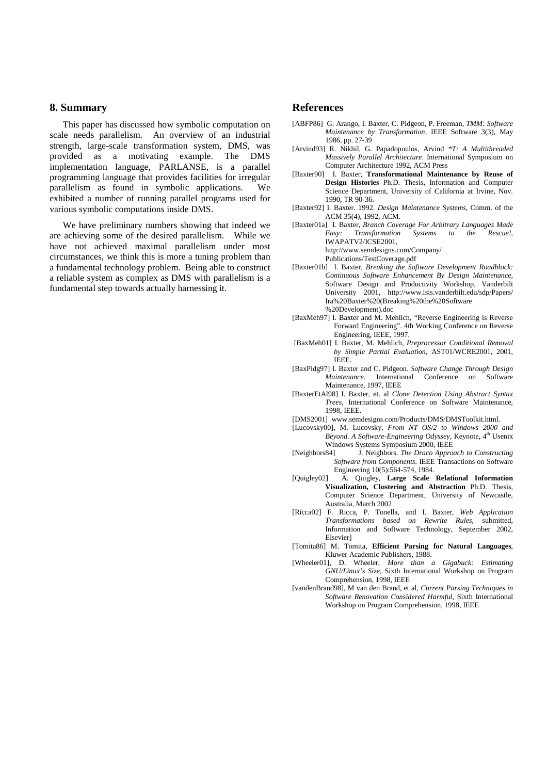#### **8. Summary**

This paper has discussed how symbolic computation on scale needs parallelism. An overview of an industrial strength, large-scale transformation system, DMS, was provided as a motivating example. The DMS implementation language, PARLANSE, is a parallel programming language that provides facilities for irregular parallelism as found in symbolic applications. We exhibited a number of running parallel programs used for various symbolic computations inside DMS.

We have preliminary numbers showing that indeed we are achieving some of the desired parallelism. While we have not achieved maximal parallelism under most circumstances, we think this is more a tuning problem than a fundamental technology problem. Being able to construct a reliable system as complex as DMS with parallelism is a fundamental step towards actually harnessing it.

#### **References**

- [ABFP86] G. Arango, I. Baxter, C. Pidgeon, P. Freeman, *TMM: Software Maintenance by Transformation*, IEEE Software 3(3), May 1986, pp. 27-39
- [Arvind93] R. Nikhil, G. Papadopoulos, Arvind *\*T: A Multithreaded Massively Parallel Architecture*. International Symposium on Computer Architecture 1992, ACM Press
- [Baxter90] I. Baxter, **Transformational Maintenance by Reuse of Design Histories** Ph.D. Thesis, Information and Computer Science Department, University of California at Irvine, Nov.  $1990$  TR  $90-36$ .
- [Baxter92] I. Baxter. 1992. *Design Maintenance Systems,* Comm. of the ACM 35(4), 1992, ACM.

[Baxter01a] I. Baxter, *Branch Coverage For Arbitrary Languages Made Easy: Transformation Systems to the Rescue!*, IWAPATV2/ICSE2001,

http://www.semdesigns.com/Company/

Publications/TestCoverage.pdf

- [Baxter01b] I. Baxter, *Breaking the Software Development Roadblock: Continuous Software Enhancement By Design Maintenance,* Software Design and Productivity Workshop, Vanderbilt University 2001, http://www.isis.vanderbilt.edu/sdp/Papers/ Ira%20Baxter%20(Breaking%20the%20Software %20Development).doc
- [BaxMeh97] I. Baxter and M. Mehlich, "Reverse Engineering is Reverse Forward Engineering". 4th Working Conference on Reverse Engineering, IEEE, 1997.
- [BaxMeh01] I. Baxter, M. Mehlich, *Preprocessor Conditional Removal by Simple Partial Evaluation,* AST01/WCRE2001, 2001, IEEE.
- [BaxPidg97] I. Baxter and C. Pidgeon. *Software Change Through Design Maintenance.* International Conference on Software Maintenance, 1997, IEEE
- [BaxterEtAl98] I. Baxter, et. al *Clone Detection Using Abstract Syntax Trees*, International Conference on Software Maintenance, 1998, IEEE.
- [DMS2001] www.semdesigns.com/Products/DMS/DMSToolkit.html.
- [Lucovsky00], M. Lucovsky, *From NT OS/2 to Windows 2000 and Beyond. A Software-Engineering Odyssey*, Keynote, 4 th Usenix Windows Systems Symposium 2000, IEEE
- [Neighbors84] J. Neighbors. *The Draco Approach to Constructing Software from Components*. IEEE Transactions on Software Engineering 10(5):564-574, 1984.
- [Quigley02] A. Quigley, **Large Scale Relational Information Visualization, Clustering and Abstraction** Ph.D. Thesis, Computer Science Department, University of Newcastle, Australia, March 2002
- [Ricca02] F. Ricca, P. Tonella, and I. Baxter, *Web Application Transformations based on Rewrite Rules*, submitted, Information and Software Technology, September 2002, Elsevier]
- [Tomita86] M. Tomita, **Efficient Parsing for Natural Languages**, Kluwer Academic Publishers, 1988.
- [Wheeler01], D. Wheeler, *More than a Gigabuck: Estimating GNU/Linux's Size*, Sixth International Workshop on Program Comprehension, 1998, IEEE
- [vandenBrand98], M van den Brand, et al, *Current Parsing Techniques in Software Renovation Considered Harmful*, Sixth International Workshop on Program Comprehension, 1998, IEEE